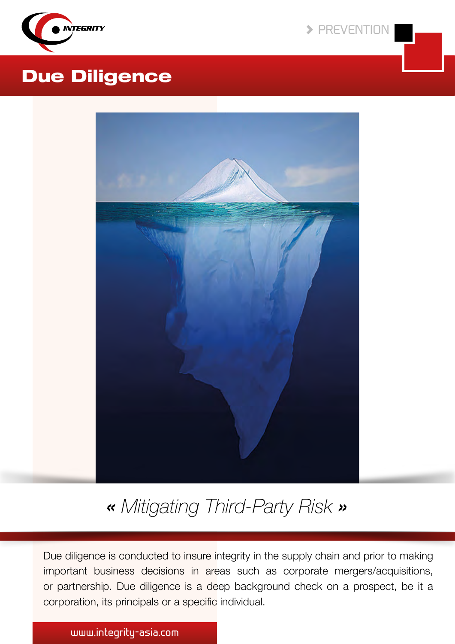

 $\blacktriangleright$  PREVENTION

## Due Diligence



« *Mitigating Third-Party Risk* »

Due diligence is conducted to insure integrity in the supply chain and prior to making important business decisions in areas such as corporate mergers/acquisitions, or partnership. Due diligence is a deep background check on a prospect, be it a corporation, its principals or a specific individual.

### www.integrity-asia.com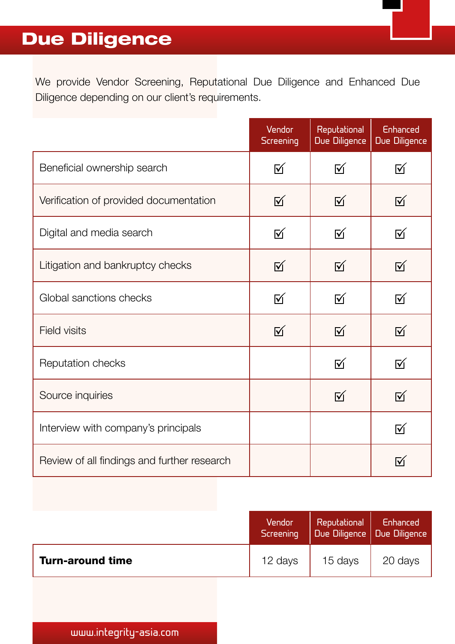# Due Diligence

We provide Vendor Screening, Reputational Due Diligence and Enhanced Due Diligence depending on our client's requirements.

|                                             | Vendor<br><b>Screening</b> | Reputational<br><b>Due Diligence</b> | Enhanced<br>Due Diligence |
|---------------------------------------------|----------------------------|--------------------------------------|---------------------------|
| Beneficial ownership search                 | 冈                          | 冈                                    | <b>M</b>                  |
| Verification of provided documentation      | 区                          | 区                                    | $\overline{\mathsf{M}}$   |
| Digital and media search                    | 冈                          | <b>M</b>                             | 冈                         |
| Litigation and bankruptcy checks            | ☑                          | $\overline{\mathsf{M}}$              | <b>M</b>                  |
| Global sanctions checks                     | 区                          | $\overline{M}$                       | 区                         |
| <b>Field visits</b>                         | 区                          | $\overline{\mathsf{M}}$              | $\overline{M}$            |
| Reputation checks                           |                            | 冈                                    | 冈                         |
| Source inquiries                            |                            | $\overline{\mathsf{M}}$              | $\overline{\mathsf{M}}$   |
| Interview with company's principals         |                            |                                      | ☑                         |
| Review of all findings and further research |                            |                                      | M                         |

|                         | Vendor<br>Screening | Reputational  <br>Due Diligence   Due Diligence | Enhanced |
|-------------------------|---------------------|-------------------------------------------------|----------|
| <b>Turn-around time</b> | 12 days             | 15 days                                         | 20 days  |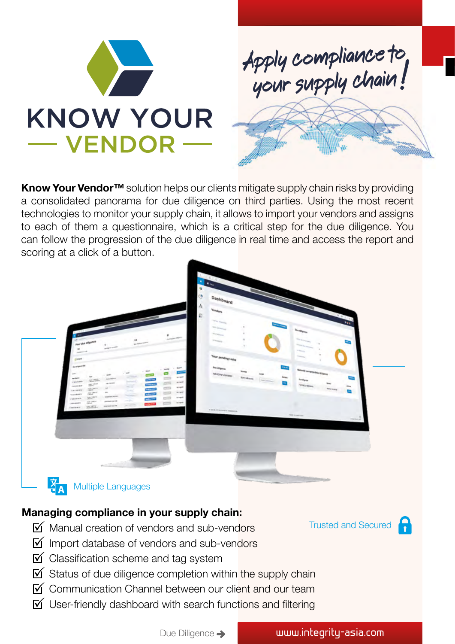



Know Your Vendor<sup>™</sup> solution helps our clients mitigate supply chain risks by providing a consolidated panorama for due diligence on third parties. Using the most recent technologies to monitor your supply chain, it allows to import your vendors and assigns to each of them a questionnaire, which is a critical step for the due diligence. You can follow the progression of the due diligence in real time and access the report and scoring at a click of a button.



- $\overline{M}$  Manual creation of vendors and sub-vendors
- $\triangledown$  Import database of vendors and sub-vendors
- $\boxtimes$  Classification scheme and tag system
- $\triangledown$  Status of due diligence completion within the supply chain
- $\boxed{\mathsf{M}}$  Communication Channel between our client and our team
- $\mathbb N$  User-friendly dashboard with search functions and filtering

Due Diligence > www.integrity-asia.com

Trusted and Secured